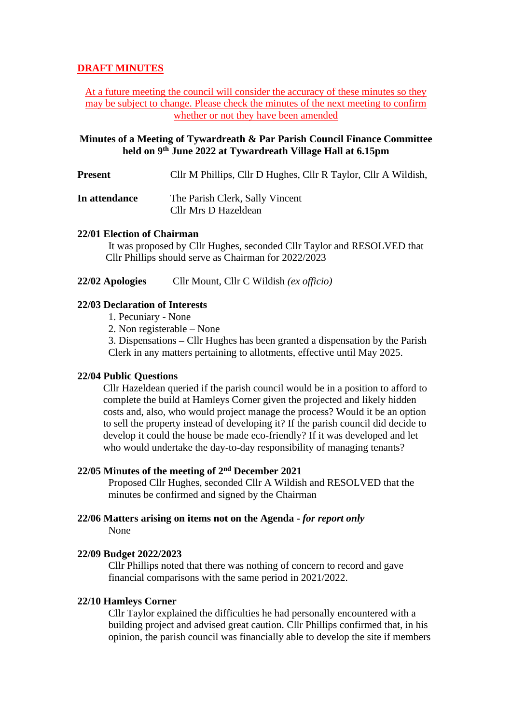# **DRAFT MINUTES**

At a future meeting the council will consider the accuracy of these minutes so they may be subject to change. Please check the minutes of the next meeting to confirm whether or not they have been amended

# **Minutes of a Meeting of Tywardreath & Par Parish Council Finance Committee held on 9 th June 2022 at Tywardreath Village Hall at 6.15pm**

**Present** Cllr M Phillips, Cllr D Hughes, Cllr R Taylor, Cllr A Wildish,

**In attendance** The Parish Clerk, Sally Vincent Cllr Mrs D Hazeldean

### **22/01 Election of Chairman**

It was proposed by Cllr Hughes, seconded Cllr Taylor and RESOLVED that Cllr Phillips should serve as Chairman for 2022/2023

**22/02 Apologies** Cllr Mount, Cllr C Wildish *(ex officio)*

# **22/03 Declaration of Interests**

- 1. Pecuniary None
- 2. Non registerable None

3. Dispensations **–** Cllr Hughes has been granted a dispensation by the Parish Clerk in any matters pertaining to allotments, effective until May 2025.

## **22/04 Public Questions**

Cllr Hazeldean queried if the parish council would be in a position to afford to complete the build at Hamleys Corner given the projected and likely hidden costs and, also, who would project manage the process? Would it be an option to sell the property instead of developing it? If the parish council did decide to develop it could the house be made eco-friendly? If it was developed and let who would undertake the day-to-day responsibility of managing tenants?

### **22/05 Minutes of the meeting of 2 nd December 2021**

Proposed Cllr Hughes, seconded Cllr A Wildish and RESOLVED that the minutes be confirmed and signed by the Chairman

### **22/06 Matters arising on items not on the Agenda -** *for report only* None

#### **22/09 Budget 2022/2023**

Cllr Phillips noted that there was nothing of concern to record and gave financial comparisons with the same period in 2021/2022.

#### **22/10 Hamleys Corner**

Cllr Taylor explained the difficulties he had personally encountered with a building project and advised great caution. Cllr Phillips confirmed that, in his opinion, the parish council was financially able to develop the site if members